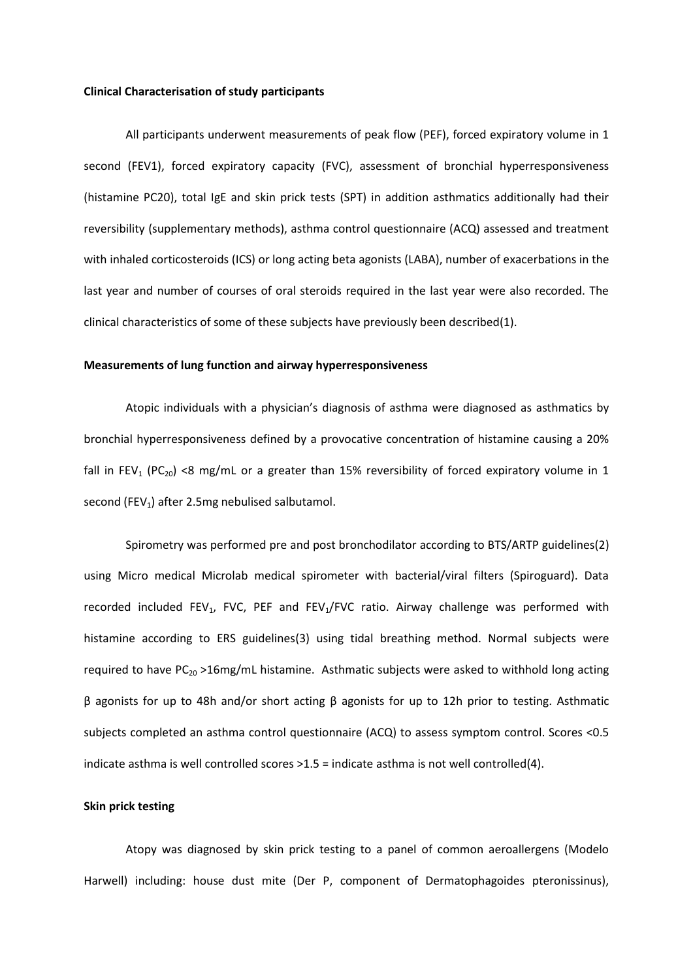### **Clinical Characterisation of study participants**

All participants underwent measurements of peak flow (PEF), forced expiratory volume in 1 second (FEV1), forced expiratory capacity (FVC), assessment of bronchial hyperresponsiveness (histamine PC20), total IgE and skin prick tests (SPT) in addition asthmatics additionally had their reversibility (supplementary methods), asthma control questionnaire (ACQ) assessed and treatment with inhaled corticosteroids (ICS) or long acting beta agonists (LABA), number of exacerbations in the last year and number of courses of oral steroids required in the last year were also recorded. The clinical characteristics of some of these subjects have previously been described[\(1\)](#page-3-0).

### **Measurements of lung function and airway hyperresponsiveness**

Atopic individuals with a physician's diagnosis of asthma were diagnosed as asthmatics by bronchial hyperresponsiveness defined by a provocative concentration of histamine causing a 20% fall in FEV<sub>1</sub> (PC<sub>20</sub>) <8 mg/mL or a greater than 15% reversibility of forced expiratory volume in 1 second (FEV<sub>1</sub>) after 2.5mg nebulised salbutamol.

Spirometry was performed pre and post bronchodilator according to BTS/ARTP guidelines[\(2\)](#page-3-1) using Micro medical Microlab medical spirometer with bacterial/viral filters (Spiroguard). Data recorded included FEV<sub>1</sub>, FVC, PEF and FEV<sub>1</sub>/FVC ratio. Airway challenge was performed with histamine according to ERS guidelines[\(3\)](#page-3-2) using tidal breathing method. Normal subjects were required to have  $PC_{20} > 16$ mg/mL histamine. Asthmatic subjects were asked to withhold long acting β agonists for up to 48h and/or short acting β agonists for up to 12h prior to testing. Asthmatic subjects completed an asthma control questionnaire (ACQ) to assess symptom control. Scores <0.5 indicate asthma is well controlled scores >1.5 = indicate asthma is not well controlled[\(4\)](#page-4-0).

## **Skin prick testing**

Atopy was diagnosed by skin prick testing to a panel of common aeroallergens (Modelo Harwell) including: house dust mite (Der P, component of Dermatophagoides pteronissinus),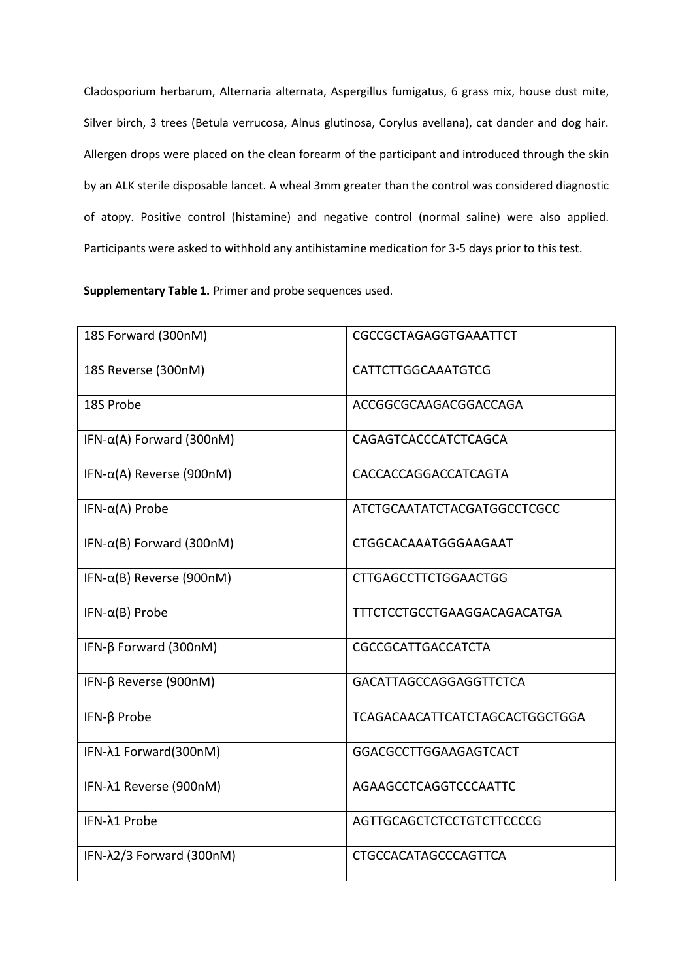Cladosporium herbarum, Alternaria alternata, Aspergillus fumigatus, 6 grass mix, house dust mite, Silver birch, 3 trees (Betula verrucosa, Alnus glutinosa, Corylus avellana), cat dander and dog hair. Allergen drops were placed on the clean forearm of the participant and introduced through the skin by an ALK sterile disposable lancet. A wheal 3mm greater than the control was considered diagnostic of atopy. Positive control (histamine) and negative control (normal saline) were also applied. Participants were asked to withhold any antihistamine medication for 3-5 days prior to this test.

**Supplementary Table 1.** Primer and probe sequences used.

| 18S Forward (300nM)               | CGCCGCTAGAGGTGAAATTCT                 |
|-----------------------------------|---------------------------------------|
| 18S Reverse (300nM)               | CATTCTTGGCAAATGTCG                    |
| 18S Probe                         | ACCGGCGCAAGACGGACCAGA                 |
| IFN- $\alpha(A)$ Forward (300nM)  | CAGAGTCACCCATCTCAGCA                  |
| IFN- $\alpha$ (A) Reverse (900nM) | CACCACCAGGACCATCAGTA                  |
| IFN- $\alpha(A)$ Probe            | ATCTGCAATATCTACGATGGCCTCGCC           |
| IFN- $\alpha$ (B) Forward (300nM) | CTGGCACAAATGGGAAGAAT                  |
| IFN- $\alpha$ (B) Reverse (900nM) | <b>CTTGAGCCTTCTGGAACTGG</b>           |
| IFN- $\alpha$ (B) Probe           | TTTCTCCTGCCTGAAGGACAGACATGA           |
| IFN- $\beta$ Forward (300nM)      | CGCCGCATTGACCATCTA                    |
| IFN-β Reverse (900nM)             | GACATTAGCCAGGAGGTTCTCA                |
| IFN- $\beta$ Probe                | <b>TCAGACAACATTCATCTAGCACTGGCTGGA</b> |
| IFN-λ1 Forward(300nM)             | GGACGCCTTGGAAGAGTCACT                 |
| IFN-λ1 Reverse (900nM)            | AGAAGCCTCAGGTCCCAATTC                 |
| IFN-λ1 Probe                      | AGTTGCAGCTCTCCTGTCTTCCCCG             |
| IFN-λ2/3 Forward (300nM)          | <b>CTGCCACATAGCCCAGTTCA</b>           |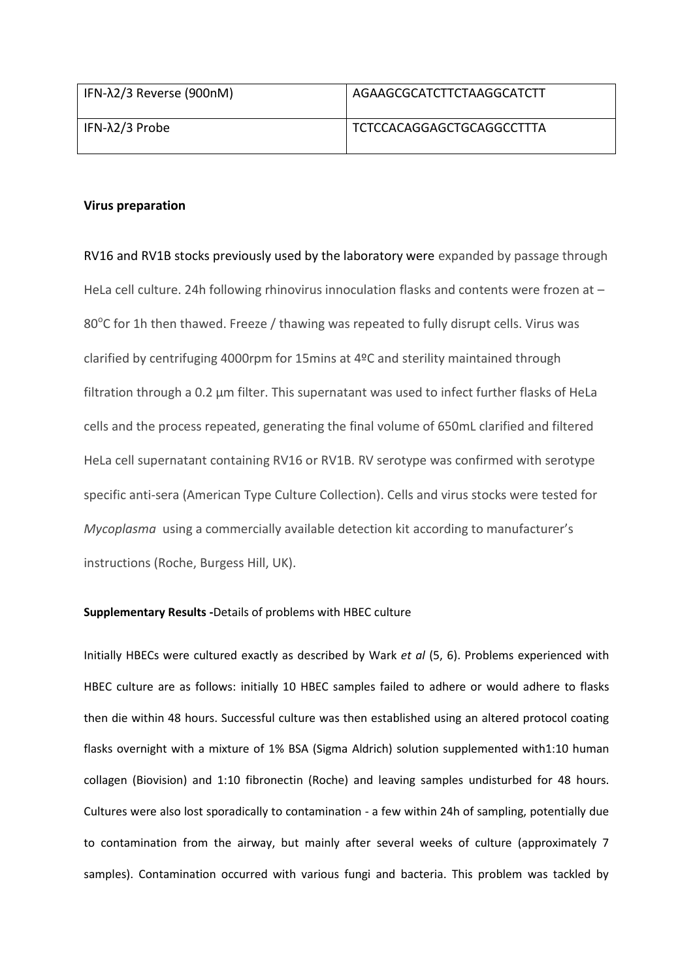| IFN- $\lambda$ 2/3 Reverse (900nM) | AGAAGCGCATCTTCTAAGGCATCTT |
|------------------------------------|---------------------------|
| IFN-λ2/3 Probe                     | TCTCCACAGGAGCTGCAGGCCTTTA |

# **Virus preparation**

RV16 and RV1B stocks previously used by the laboratory were expanded by passage through HeLa cell culture. 24h following rhinovirus innoculation flasks and contents were frozen at – 80 $^{\circ}$ C for 1h then thawed. Freeze / thawing was repeated to fully disrupt cells. Virus was clarified by centrifuging 4000rpm for 15mins at 4ºC and sterility maintained through filtration through a 0.2 μm filter. This supernatant was used to infect further flasks of HeLa cells and the process repeated, generating the final volume of 650mL clarified and filtered HeLa cell supernatant containing RV16 or RV1B. RV serotype was confirmed with serotype specific anti-sera (American Type Culture Collection). Cells and virus stocks were tested for *Mycoplasma* using a commercially available detection kit according to manufacturer's instructions (Roche, Burgess Hill, UK).

## **Supplementary Results -**Details of problems with HBEC culture

Initially HBECs were cultured exactly as described by Wark *et al* [\(5,](#page-4-1) [6\)](#page-4-2). Problems experienced with HBEC culture are as follows: initially 10 HBEC samples failed to adhere or would adhere to flasks then die within 48 hours. Successful culture was then established using an altered protocol coating flasks overnight with a mixture of 1% BSA (Sigma Aldrich) solution supplemented with1:10 human collagen (Biovision) and 1:10 fibronectin (Roche) and leaving samples undisturbed for 48 hours. Cultures were also lost sporadically to contamination - a few within 24h of sampling, potentially due to contamination from the airway, but mainly after several weeks of culture (approximately 7 samples). Contamination occurred with various fungi and bacteria. This problem was tackled by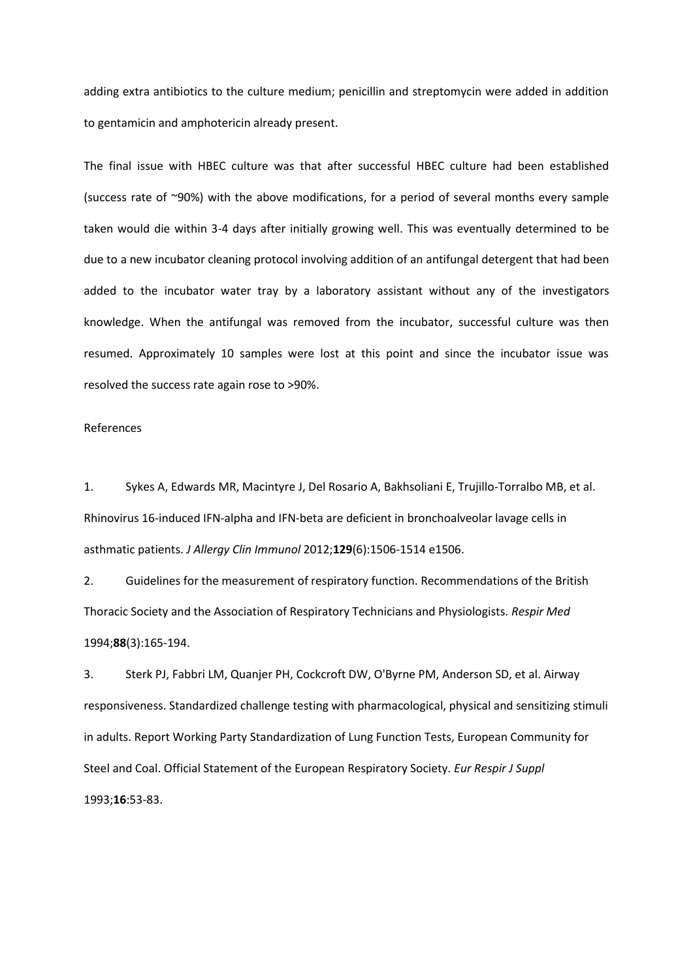adding extra antibiotics to the culture medium; penicillin and streptomycin were added in addition to gentamicin and amphotericin already present.

The final issue with HBEC culture was that after successful HBEC culture had been established (success rate of ~90%) with the above modifications, for a period of several months every sample taken would die within 3-4 days after initially growing well. This was eventually determined to be due to a new incubator cleaning protocol involving addition of an antifungal detergent that had been added to the incubator water tray by a laboratory assistant without any of the investigators knowledge. When the antifungal was removed from the incubator, successful culture was then resumed. Approximately 10 samples were lost at this point and since the incubator issue was resolved the success rate again rose to >90%.

## References

<span id="page-3-0"></span>1. Sykes A, Edwards MR, Macintyre J, Del Rosario A, Bakhsoliani E, Trujillo-Torralbo MB, et al. Rhinovirus 16-induced IFN-alpha and IFN-beta are deficient in bronchoalveolar lavage cells in asthmatic patients. *J Allergy Clin Immunol* 2012;**129**(6):1506-1514 e1506.

<span id="page-3-1"></span>2. Guidelines for the measurement of respiratory function. Recommendations of the British Thoracic Society and the Association of Respiratory Technicians and Physiologists. *Respir Med* 1994;**88**(3):165-194.

<span id="page-3-2"></span>3. Sterk PJ, Fabbri LM, Quanjer PH, Cockcroft DW, O'Byrne PM, Anderson SD, et al. Airway responsiveness. Standardized challenge testing with pharmacological, physical and sensitizing stimuli in adults. Report Working Party Standardization of Lung Function Tests, European Community for Steel and Coal. Official Statement of the European Respiratory Society. *Eur Respir J Suppl* 1993;**16**:53-83.